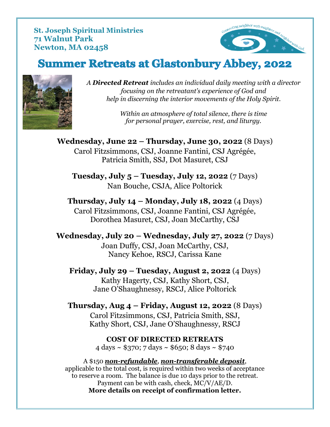**St. Joseph Spiritual Ministries 71 Walnut Park Newton, MA 02458**



# **Summer Retreats at Glastonbury Abbey, 2022**



*A Directed Retreat includes an individual daily meeting with a director focusing on the retreatant's experience of God and help in discerning the interior movements of the Holy Spirit.*

> *Within an atmosphere of total silence, there is time for personal prayer, exercise, rest, and liturgy.*

**Wednesday, June 22 – Thursday, June 30, 2022** (8 Days) Carol Fitzsimmons, CSJ, Joanne Fantini, CSJ Agrégée, Patricia Smith, SSJ, Dot Masuret, CSJ

**Tuesday, July 5 – Tuesday, July 12, 2022** (7 Days) Nan Bouche, CSJA, Alice Poltorick

**Thursday, July 14 – Monday, July 18, 2022** (4 Days) Carol Fitzsimmons, CSJ, Joanne Fantini, CSJ Agrégée, Dorothea Masuret, CSJ, Joan McCarthy, CSJ

**Wednesday, July 20 – Wednesday, July 27, 2022** (7 Days) Joan Duffy, CSJ, Joan McCarthy, CSJ, Nancy Kehoe, RSCJ, Carissa Kane

**Friday, July 29 – Tuesday, August 2, 2022** (4 Days) Kathy Hagerty, CSJ, Kathy Short, CSJ, Jane O'Shaughnessy, RSCJ, Alice Poltorick

**Thursday, Aug 4 – Friday, August 12, 2022** (8 Days) Carol Fitzsimmons, CSJ, Patricia Smith, SSJ, Kathy Short, CSJ, Jane O'Shaughnessy, RSCJ

> **COST OF DIRECTED RETREATS** 4 days ~ \$370; 7 days ~ \$650; 8 days ~ \$740

A \$150 *non-refundable*, *non-transferable deposit*, applicable to the total cost, is required within two weeks of acceptance to reserve a room. The balance is due 10 days prior to the retreat. Payment can be with cash, check, MC/V/AE/D. **More details on receipt of confirmation letter.**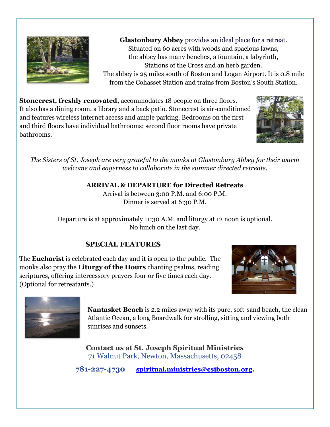

**Glastonbury Abbey** provides an ideal place for a retreat. Situated on 60 acres with woods and spacious lawns, the abbey has many benches, a fountain, a labyrinth, Stations of the Cross and an herb garden. The abbey is 25 miles south of Boston and Logan Airport. It is 0.8 mile from the Cohasset Station and trains from Boston's South Station.

**Stonecrest, freshly renovated,** accommodates 18 people on three floors. It also has a dining room, a library and a back patio. Stonecrest is air-conditioned and features wireless internet access and ample parking. Bedrooms on the first and third floors have individual bathrooms; second floor rooms have private bathrooms.



*The Sisters of St. Joseph are very grateful to the monks at Glastonbury Abbey for their warm welcome and eagerness to collaborate in the summer directed retreats.*

### **ARRIVAL & DEPARTURE for Directed Retreats**

Arrival is between 3:00 P.M. and 6:00 P.M. Dinner is served at 6:30 P.M.

Departure is at approximately 11:30 A.M. and liturgy at 12 noon is optional. No lunch on the last day.

### **SPECIAL FEATURES**

The **Eucharist** is celebrated each day and it is open to the public. The monks also pray the **Liturgy of the Hours** chanting psalms, reading scriptures, offering intercessory prayers four or five times each day. (Optional for retreatants.)





**Nantasket Beach** is 2.2 miles away with its pure, soft-sand beach, the clean Atlantic Ocean, a long Boardwalk for strolling, sitting and viewing both sunrises and sunsets.

**Contact us at St. Joseph Spiritual Ministries** 71 Walnut Park, Newton, Massachusetts, 02458

**781-227-4730 [spiritual.ministries@csjboston.org.](mailto:spiritual.ministries@csjboston.org)**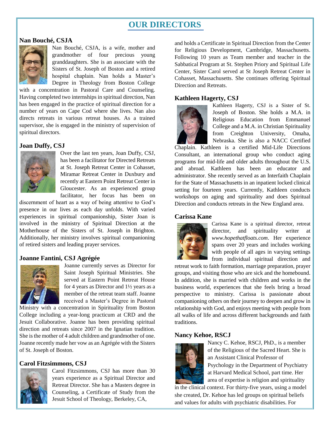## **OUR DIRECTORS**

#### **Nan Bouché, CSJA**



Nan Bouché, CSJA, is a wife, mother and grandmother of four precious young granddaughters. She is an associate with the Sisters of St. Joseph of Boston and a retired hospital chaplain. Nan holds a Master's Degree in Theology from Boston College

with a concentration in Pastoral Care and Counseling. Having completed two internships in spiritual direction, Nan has been engaged in the practice of spiritual direction for a number of years on Cape Cod where she lives. Nan also directs retreats in various retreat houses. As a trained supervisor, she is engaged in the ministry of supervision of spiritual directors.

#### **Joan Duffy, CSJ**



Over the last ten years, Joan Duffy, CSJ, has been a facilitator for Directed Retreats at St. Joseph Retreat Center in Cohasset, Miramar Retreat Center in Duxbury and recently at Eastern Point Retreat Center in Gloucester. As an experienced group facilitator, her focus has been on

discernment of heart as a way of being attentive to God's presence in our lives as each day unfolds. With varied experiences in spiritual companionship, Sister Joan is involved in the ministry of Spiritual Direction at the Motherhouse of the Sisters of St. Joseph in Brighton. Additionally, her ministry involves spiritual companioning of retired sisters and leading prayer services.

#### **Joanne Fantini, CSJ Agrégée**



Joanne currently serves as Director for Saint Joseph Spiritual Ministries. She served at Eastern Point Retreat House for 4 years as Director and 1½ years as a member of the retreat team staff. Joanne received a Master's Degree in Pastoral

Ministry with a concentration in Spirituality from Boston College including a year-long practicum at CRD and the Jesuit Collaborative. Joanne has been providing spiritual direction and retreats since 2007 in the Ignatian tradition. She is the mother of 4 adult children and grandmother of one. Joanne recently made her vow as an Agrégée with the Sisters of St. Joseph of Boston.

#### **Carol Fitzsimmons, CSJ**



Carol Fitzsimmons, CSJ has more than 30 years experience as a Spiritual Director and Retreat Director. She has a Masters degree in Counseling, a Certificate of Study from the Jesuit School of Theology, Berkeley, CA,

and holds a Certificate in Spiritual Direction from the Center for Religious Development, Cambridge, Massachusetts. Following 10 years as Team member and teacher in the Sabbatical Program at St. Stephen Priory and Spiritual Life Center, Sister Carol served at St Joseph Retreat Center in Cohasset, Massachusetts. She continues offering Spiritual Direction and Retreats.

#### **Kathleen Hagerty, CSJ**



Kathleen Hagerty, CSJ is a Sister of St. Joseph of Boston. She holds a M.A. in Religious Education from Emmanuel College and a M.A. in Christian Spirituality from Creighton University, Omaha, Nebraska. She is also a NACC Certified

Chaplain. Kathleen is a certified Mid-Life Directions Consultant, an international group who conduct aging programs for mid-life and older adults throughout the U.S. and abroad. Kathleen has been an educator and administrator. She recently served as an Interfaith Chaplain for the State of Massachusetts in an inpatient locked clinical setting for fourteen years. Currently, Kathleen conducts workshops on aging and spirituality and does Spiritual Direction and conducts retreats in the New England area.

#### **Carissa Kane**



Carissa Kane is a spiritual director, retreat director, and spirituality writer at *www.hopethatfloats.com*. Her experience spans over 20 years and includes working with people of all ages in varying settings from individual spiritual direction and

retreat work to faith formation, marriage preparation, prayer groups, and visiting those who are sick and the homebound. In addition, she is married with children and works in the business world, experiences that she feels bring a broad perspective to ministry. Carissa is passionate about companioning others on their journey to deepen and grow in relationship with God, and enjoys meeting with people from all walks of life and across different backgrounds and faith traditions.

#### **Nancy Kehoe, RSCJ**



Nancy C. Kehoe, RSCJ, PhD., is a member of the Religious of the Sacred Heart. She is an Assistant Clinical Professor of Psychology in the Department of Psychiatry at Harvard Medical School, part time. Her area of expertise is religion and spirituality

in the clinical context. For thirty-five years, using a model she created, Dr. Kehoe has led groups on spiritual beliefs and values for adults with psychiatric disabilities. For